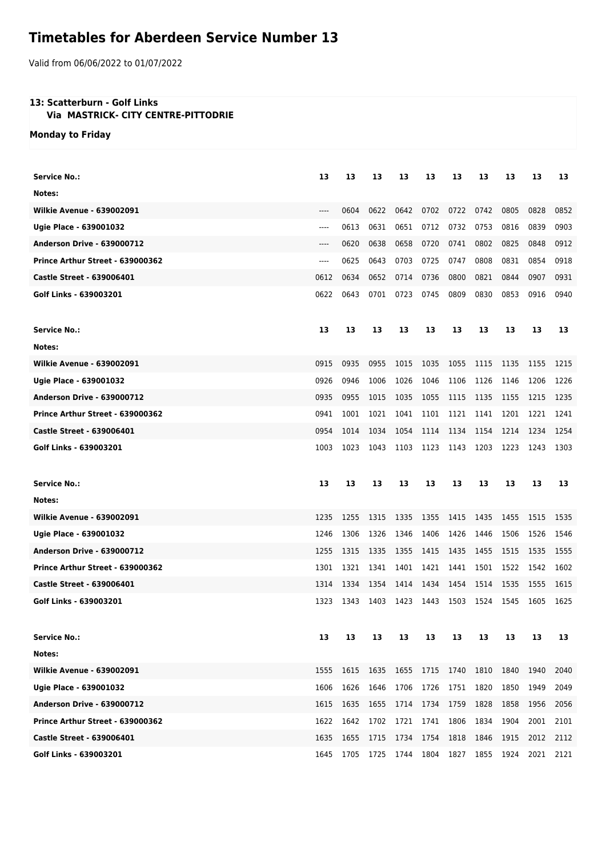## **Timetables for Aberdeen Service Number 13**

Valid from 06/06/2022 to 01/07/2022

## **13: Scatterburn - Golf Links**

 **Via MASTRICK- CITY CENTRE-PITTODRIE**

**Monday to Friday**

| <b>Service No.:</b>               | 13    | 13   | 13   | 13   | 13   | 13   | 13   | 13   | 13   | 13   |
|-----------------------------------|-------|------|------|------|------|------|------|------|------|------|
| Notes:                            |       |      |      |      |      |      |      |      |      |      |
| <b>Wilkie Avenue - 639002091</b>  | $---$ | 0604 | 0622 | 0642 | 0702 | 0722 | 0742 | 0805 | 0828 | 0852 |
| Ugie Place - 639001032            | $---$ | 0613 | 0631 | 0651 | 0712 | 0732 | 0753 | 0816 | 0839 | 0903 |
| <b>Anderson Drive - 639000712</b> | $---$ | 0620 | 0638 | 0658 | 0720 | 0741 | 0802 | 0825 | 0848 | 0912 |
| Prince Arthur Street - 639000362  | $---$ | 0625 | 0643 | 0703 | 0725 | 0747 | 0808 | 0831 | 0854 | 0918 |
| <b>Castle Street - 639006401</b>  | 0612  | 0634 | 0652 | 0714 | 0736 | 0800 | 0821 | 0844 | 0907 | 0931 |
| Golf Links - 639003201            | 0622  | 0643 | 0701 | 0723 | 0745 | 0809 | 0830 | 0853 | 0916 | 0940 |
| <b>Service No.:</b>               | 13    | 13   | 13   | 13   | 13   | 13   | 13   | 13   | 13   | 13   |
| Notes:                            |       |      |      |      |      |      |      |      |      |      |
| <b>Wilkie Avenue - 639002091</b>  | 0915  | 0935 | 0955 | 1015 | 1035 | 1055 | 1115 | 1135 | 1155 | 1215 |
| Ugie Place - 639001032            | 0926  | 0946 | 1006 | 1026 | 1046 | 1106 | 1126 | 1146 | 1206 | 1226 |
| <b>Anderson Drive - 639000712</b> | 0935  | 0955 | 1015 | 1035 | 1055 | 1115 | 1135 | 1155 | 1215 | 1235 |
| Prince Arthur Street - 639000362  | 0941  | 1001 | 1021 | 1041 | 1101 | 1121 | 1141 | 1201 | 1221 | 1241 |
| <b>Castle Street - 639006401</b>  | 0954  | 1014 | 1034 | 1054 | 1114 | 1134 | 1154 | 1214 | 1234 | 1254 |
| Golf Links - 639003201            | 1003  | 1023 | 1043 | 1103 | 1123 | 1143 | 1203 | 1223 | 1243 | 1303 |
|                                   |       |      |      |      |      |      |      |      |      |      |
| <b>Service No.:</b>               | 13    | 13   | 13   | 13   | 13   | 13   | 13   | 13   | 13   | 13   |
| Notes:                            |       |      |      |      |      |      |      |      |      |      |
| <b>Wilkie Avenue - 639002091</b>  | 1235  | 1255 | 1315 | 1335 | 1355 | 1415 | 1435 | 1455 | 1515 | 1535 |
| Ugie Place - 639001032            | 1246  | 1306 | 1326 | 1346 | 1406 | 1426 | 1446 | 1506 | 1526 | 1546 |
| <b>Anderson Drive - 639000712</b> | 1255  | 1315 | 1335 | 1355 | 1415 | 1435 | 1455 | 1515 | 1535 | 1555 |
| Prince Arthur Street - 639000362  | 1301  | 1321 | 1341 | 1401 | 1421 | 1441 | 1501 | 1522 | 1542 | 1602 |
| <b>Castle Street - 639006401</b>  | 1314  | 1334 | 1354 | 1414 | 1434 | 1454 | 1514 | 1535 | 1555 | 1615 |
| Golf Links - 639003201            | 1323  | 1343 | 1403 | 1423 | 1443 | 1503 | 1524 | 1545 | 1605 | 1625 |
| <b>Service No.:</b>               | 13    | 13   | 13   | 13   | 13   | 13   | 13   | 13   | 13   | 13   |
| Notes:                            |       |      |      |      |      |      |      |      |      |      |
| <b>Wilkie Avenue - 639002091</b>  | 1555  | 1615 | 1635 | 1655 | 1715 | 1740 | 1810 | 1840 | 1940 | 2040 |
| <b>Ugie Place - 639001032</b>     | 1606  | 1626 | 1646 | 1706 | 1726 | 1751 | 1820 | 1850 | 1949 | 2049 |
| <b>Anderson Drive - 639000712</b> | 1615  | 1635 | 1655 | 1714 | 1734 | 1759 | 1828 | 1858 | 1956 | 2056 |
| Prince Arthur Street - 639000362  | 1622  | 1642 | 1702 | 1721 | 1741 | 1806 | 1834 | 1904 | 2001 | 2101 |
| <b>Castle Street - 639006401</b>  | 1635  | 1655 | 1715 | 1734 | 1754 | 1818 | 1846 | 1915 | 2012 | 2112 |